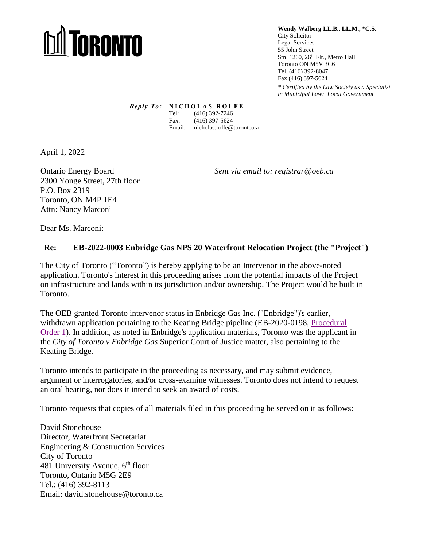## **TORONTO**

**Wendy Walberg LL.B., LL.M., \*C.S.** City Solicitor Legal Services 55 John Street Stn. 1260, 26<sup>th</sup> Flr., Metro Hall Toronto ON M5V 3C6 Tel. (416) 392-8047 Fax (416) 397-5624 *\* Certified by the Law Society as a Specialist in Municipal Law: Local Government*

*Reply To:* **<b>NICHOLAS ROLFE**<br>Tel: (416) 392-7246 (416) 392-7246 Fax: (416) 397-5624 Email: nicholas.rolfe@toronto.ca

April 1, 2022

2300 Yonge Street, 27th floor P.O. Box 2319 Toronto, ON M4P 1E4 Attn: Nancy Marconi

Ontario Energy Board *Sent via email to: registrar@oeb.ca*

Dear Ms. Marconi:

## **Re: EB-2022-0003 Enbridge Gas NPS 20 Waterfront Relocation Project (the "Project")**

The City of Toronto ("Toronto") is hereby applying to be an Intervenor in the above-noted application. Toronto's interest in this proceeding arises from the potential impacts of the Project on infrastructure and lands within its jurisdiction and/or ownership. The Project would be built in Toronto.

The OEB granted Toronto intervenor status in Enbridge Gas Inc. ("Enbridge")'s earlier, withdrawn application pertaining to the Keating Bridge pipeline (EB-2020-0198, [Procedural](https://www.rds.oeb.ca/CMWebDrawer/Record/696923/File/document)  [Order 1\)](https://www.rds.oeb.ca/CMWebDrawer/Record/696923/File/document). In addition, as noted in Enbridge's application materials, Toronto was the applicant in the *City of Toronto v Enbridge Gas* Superior Court of Justice matter, also pertaining to the Keating Bridge.

Toronto intends to participate in the proceeding as necessary, and may submit evidence, argument or interrogatories, and/or cross-examine witnesses. Toronto does not intend to request an oral hearing, nor does it intend to seek an award of costs.

Toronto requests that copies of all materials filed in this proceeding be served on it as follows:

David Stonehouse Director, Waterfront Secretariat Engineering & Construction Services City of Toronto 481 University Avenue,  $6<sup>th</sup>$  floor Toronto, Ontario M5G 2E9 Tel.: (416) 392-8113 Email: david.stonehouse@toronto.ca